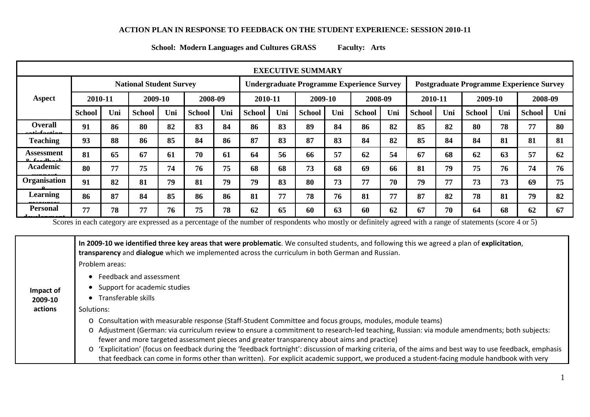## **ACTION PLAN IN RESPONSE TO FEEDBACK ON THE STUDENT EXPERIENCE: SESSION 2010-11**

**School: Modern Languages and Cultures GRASS Faculty: Arts**

| <b>EXECUTIVE SUMMARY</b>                  |                                |     |               |     |               |                                                  |               |     |               |     |                                                 |     |               |     |               |     |               |     |
|-------------------------------------------|--------------------------------|-----|---------------|-----|---------------|--------------------------------------------------|---------------|-----|---------------|-----|-------------------------------------------------|-----|---------------|-----|---------------|-----|---------------|-----|
|                                           | <b>National Student Survey</b> |     |               |     |               | <b>Undergraduate Programme Experience Survey</b> |               |     |               |     | <b>Postgraduate Programme Experience Survey</b> |     |               |     |               |     |               |     |
| Aspect                                    | 2010-11                        |     | 2009-10       |     | 2008-09       |                                                  | 2010-11       |     | 2009-10       |     | 2008-09                                         |     | 2010-11       |     | 2009-10       |     | 2008-09       |     |
|                                           | <b>School</b>                  | Uni | <b>School</b> | Uni | <b>School</b> | Uni                                              | <b>School</b> | Uni | <b>School</b> | Uni | <b>School</b>                                   | Uni | <b>School</b> | Uni | <b>School</b> | Uni | <b>School</b> | Uni |
| <b>Overall</b><br><u>righter diameter</u> | 91                             | 86  | 80            | 82  | 83            | 84                                               | 86            | 83  | 89            | 84  | 86                                              | 82  | 85            | 82  | 80            | 78  | 77            | 80  |
| <b>Teaching</b>                           | 93                             | 88  | 86            | 85  | 84            | 86                                               | 87            | 83  | 87            | 83  | 84                                              | 82  | 85            | 84  | 84            | 81  | 81            | 81  |
| Assessment<br>$0.6$ and $h$ and           | 81                             | 65  | 67            | 61  | 70            | 61                                               | 64            | 56  | 66            | 57  | 62                                              | 54  | 67            | 68  | 62            | 63  | 57            | 62  |
| Academic                                  | 80                             | 77  | 75            | 74  | 76            | 75                                               | 68            | 68  | 73            | 68  | 69                                              | 66  | 81            | 79  | 75            | 76  | 74            | 76  |
| Organisation                              | 91                             | 82  | 81            | 79  | 81            | 79                                               | 79            | 83  | 80            | 73  | 77                                              | 70  | 79            | 77  | 73            | 73  | 69            | 75  |
| Learning                                  | 86                             | 87  | 84            | 85  | 86            | 86                                               | 81            | 77  | 78            | 76  | 81                                              | 77  | 87            | 82  | 78            | 81  | 79            | 82  |
| <b>Personal</b>                           | 77                             | 78  | 77            | 76  | 75            | 78                                               | 62            | 65  | 60            | 63  | 60                                              | 62  | 67            | 70  | 64            | 68  | 62            | 67  |

Scores in each category are expressed as a percentage of the number of respondents who mostly or definitely agreed with a range of statements (score 4 or 5)

**Impact of 2009-10 actions In 2009-10 we identified three key areas that were problematic**. We consulted students, and following this we agreed a plan of **explicitation**, **transparency** and **dialogue** which we implemented across the curriculum in both German and Russian. Problem areas: • Feedback and assessment • Support for academic studies • Transferable skills Solutions: o Consultation with measurable response (Staff-Student Committee and focus groups, modules, module teams) o Adjustment (German: via curriculum review to ensure a commitment to research-led teaching, Russian: via module amendments; both subjects: fewer and more targeted assessment pieces and greater transparency about aims and practice) o 'Explicitation' (focus on feedback during the 'feedback fortnight': discussion of marking criteria, of the aims and best way to use feedback, emphasis that feedback can come in forms other than written). For explicit academic support, we produced a student-facing module handbook with very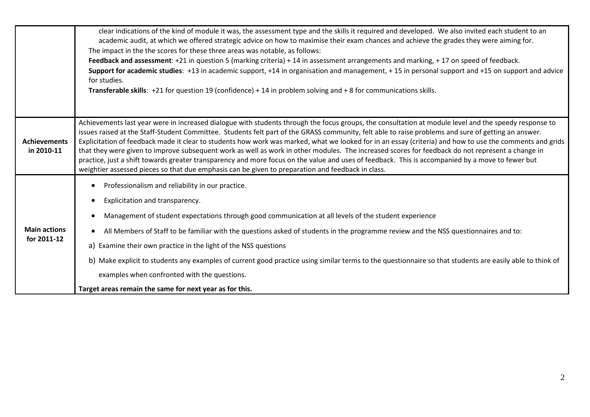|                                    | clear indications of the kind of module it was, the assessment type and the skills it required and developed. We also invited each student to an<br>academic audit, at which we offered strategic advice on how to maximise their exam chances and achieve the grades they were aiming for.<br>The impact in the the scores for these three areas was notable, as follows:<br>Feedback and assessment: +21 in question 5 (marking criteria) + 14 in assessment arrangements and marking, + 17 on speed of feedback.<br>Support for academic studies: +13 in academic support, +14 in organisation and management, +15 in personal support and +15 on support and advice<br>for studies.<br><b>Transferable skills:</b> +21 for question 19 (confidence) + 14 in problem solving and + 8 for communications skills.                                                                    |
|------------------------------------|---------------------------------------------------------------------------------------------------------------------------------------------------------------------------------------------------------------------------------------------------------------------------------------------------------------------------------------------------------------------------------------------------------------------------------------------------------------------------------------------------------------------------------------------------------------------------------------------------------------------------------------------------------------------------------------------------------------------------------------------------------------------------------------------------------------------------------------------------------------------------------------|
| <b>Achievements</b><br>in 2010-11  | Achievements last year were in increased dialogue with students through the focus groups, the consultation at module level and the speedy response to<br>issues raised at the Staff-Student Committee. Students felt part of the GRASS community, felt able to raise problems and sure of getting an answer.<br>Explicitation of feedback made it clear to students how work was marked, what we looked for in an essay (criteria) and how to use the comments and grids<br>that they were given to improve subsequent work as well as work in other modules. The increased scores for feedback do not represent a change in<br>practice, just a shift towards greater transparency and more focus on the value and uses of feedback. This is accompanied by a move to fewer but<br>weightier assessed pieces so that due emphasis can be given to preparation and feedback in class. |
| <b>Main actions</b><br>for 2011-12 | Professionalism and reliability in our practice.<br>Explicitation and transparency.<br>$\bullet$<br>Management of student expectations through good communication at all levels of the student experience<br>All Members of Staff to be familiar with the questions asked of students in the programme review and the NSS questionnaires and to:<br>a) Examine their own practice in the light of the NSS questions<br>b) Make explicit to students any examples of current good practice using similar terms to the questionnaire so that students are easily able to think of<br>examples when confronted with the questions.<br>Target areas remain the same for next year as for this.                                                                                                                                                                                            |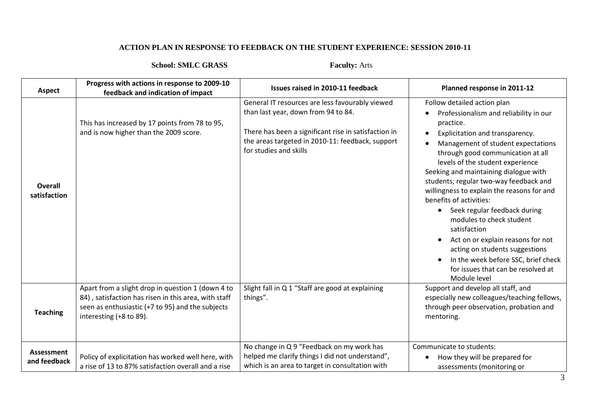## **ACTION PLAN IN RESPONSE TO FEEDBACK ON THE STUDENT EXPERIENCE: SESSION 2010-11**

## **School: SMLC GRASS Faculty:** Arts

| <b>Aspect</b>                  | Progress with actions in response to 2009-10<br>feedback and indication of impact                                                                                                        | Issues raised in 2010-11 feedback                                                                                                                                                                                            | Planned response in 2011-12                                                                                                                                                                                                                                                                                                                                                                                                                                                                                                                                                                                                                                   |
|--------------------------------|------------------------------------------------------------------------------------------------------------------------------------------------------------------------------------------|------------------------------------------------------------------------------------------------------------------------------------------------------------------------------------------------------------------------------|---------------------------------------------------------------------------------------------------------------------------------------------------------------------------------------------------------------------------------------------------------------------------------------------------------------------------------------------------------------------------------------------------------------------------------------------------------------------------------------------------------------------------------------------------------------------------------------------------------------------------------------------------------------|
| <b>Overall</b><br>satisfaction | This has increased by 17 points from 78 to 95,<br>and is now higher than the 2009 score.                                                                                                 | General IT resources are less favourably viewed<br>than last year, down from 94 to 84.<br>There has been a significant rise in satisfaction in<br>the areas targeted in 2010-11: feedback, support<br>for studies and skills | Follow detailed action plan<br>Professionalism and reliability in our<br>practice.<br>Explicitation and transparency.<br>Management of student expectations<br>through good communication at all<br>levels of the student experience<br>Seeking and maintaining dialogue with<br>students; regular two-way feedback and<br>willingness to explain the reasons for and<br>benefits of activities:<br>Seek regular feedback during<br>$\bullet$<br>modules to check student<br>satisfaction<br>Act on or explain reasons for not<br>acting on students suggestions<br>In the week before SSC, brief check<br>for issues that can be resolved at<br>Module level |
| <b>Teaching</b>                | Apart from a slight drop in question 1 (down 4 to<br>84), satisfaction has risen in this area, with staff<br>seen as enthusiastic (+7 to 95) and the subjects<br>interesting (+8 to 89). | Slight fall in Q 1 "Staff are good at explaining<br>things".                                                                                                                                                                 | Support and develop all staff, and<br>especially new colleagues/teaching fellows,<br>through peer observation, probation and<br>mentoring.                                                                                                                                                                                                                                                                                                                                                                                                                                                                                                                    |
| Assessment<br>and feedback     | Policy of explicitation has worked well here, with<br>a rise of 13 to 87% satisfaction overall and a rise                                                                                | No change in Q 9 "Feedback on my work has<br>helped me clarify things I did not understand",<br>which is an area to target in consultation with                                                                              | Communicate to students:<br>How they will be prepared for<br>assessments (monitoring or                                                                                                                                                                                                                                                                                                                                                                                                                                                                                                                                                                       |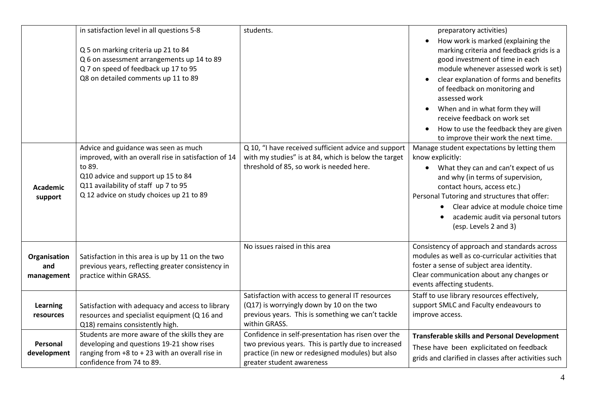|                                   | in satisfaction level in all questions 5-8<br>Q 5 on marking criteria up 21 to 84<br>Q 6 on assessment arrangements up 14 to 89<br>Q 7 on speed of feedback up 17 to 95<br>Q8 on detailed comments up 11 to 89                   | students.                                                                                                                                                                                  | preparatory activities)<br>How work is marked (explaining the<br>marking criteria and feedback grids is a<br>good investment of time in each<br>module whenever assessed work is set)<br>clear explanation of forms and benefits<br>of feedback on monitoring and<br>assessed work<br>When and in what form they will                         |
|-----------------------------------|----------------------------------------------------------------------------------------------------------------------------------------------------------------------------------------------------------------------------------|--------------------------------------------------------------------------------------------------------------------------------------------------------------------------------------------|-----------------------------------------------------------------------------------------------------------------------------------------------------------------------------------------------------------------------------------------------------------------------------------------------------------------------------------------------|
|                                   |                                                                                                                                                                                                                                  |                                                                                                                                                                                            | receive feedback on work set<br>How to use the feedback they are given<br>to improve their work the next time.                                                                                                                                                                                                                                |
| <b>Academic</b><br>support        | Advice and guidance was seen as much<br>improved, with an overall rise in satisfaction of 14<br>to 89.<br>Q10 advice and support up 15 to 84<br>Q11 availability of staff up 7 to 95<br>Q 12 advice on study choices up 21 to 89 | Q 10, "I have received sufficient advice and support<br>with my studies" is at 84, which is below the target<br>threshold of 85, so work is needed here.                                   | Manage student expectations by letting them<br>know explicitly:<br>What they can and can't expect of us<br>$\bullet$<br>and why (in terms of supervision,<br>contact hours, access etc.)<br>Personal Tutoring and structures that offer:<br>Clear advice at module choice time<br>academic audit via personal tutors<br>(esp. Levels 2 and 3) |
| Organisation<br>and<br>management | Satisfaction in this area is up by 11 on the two<br>previous years, reflecting greater consistency in<br>practice within GRASS.                                                                                                  | No issues raised in this area                                                                                                                                                              | Consistency of approach and standards across<br>modules as well as co-curricular activities that<br>foster a sense of subject area identity.<br>Clear communication about any changes or<br>events affecting students.                                                                                                                        |
| Learning<br>resources             | Satisfaction with adequacy and access to library<br>resources and specialist equipment (Q 16 and<br>Q18) remains consistently high.                                                                                              | Satisfaction with access to general IT resources<br>(Q17) is worryingly down by 10 on the two<br>previous years. This is something we can't tackle<br>within GRASS.                        | Staff to use library resources effectively,<br>support SMLC and Faculty endeavours to<br>improve access.                                                                                                                                                                                                                                      |
| Personal<br>development           | Students are more aware of the skills they are<br>developing and questions 19-21 show rises<br>ranging from $+8$ to $+23$ with an overall rise in<br>confidence from 74 to 89.                                                   | Confidence in self-presentation has risen over the<br>two previous years. This is partly due to increased<br>practice (in new or redesigned modules) but also<br>greater student awareness | <b>Transferable skills and Personal Development</b><br>These have been explicitated on feedback<br>grids and clarified in classes after activities such                                                                                                                                                                                       |